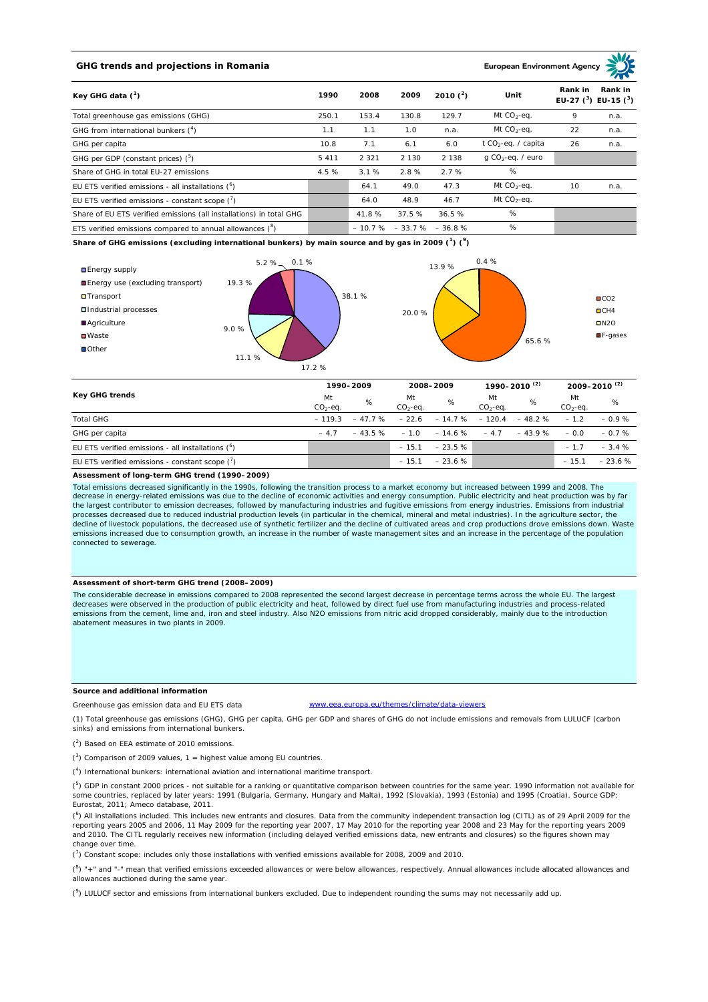# **GHG trends and projections in Romania**

**European Environment Ag** 

| Key GHG data $(^1)$                                                 | 1990    | 2008    | 2009                        | 2010 $(^{2})$ | Unit                            | Rank in | Rank in<br>EU-27 ( $3$ ) EU-15 ( $3$ ) |
|---------------------------------------------------------------------|---------|---------|-----------------------------|---------------|---------------------------------|---------|----------------------------------------|
| Total greenhouse gas emissions (GHG)                                | 250.1   | 153.4   | 130.8                       | 129.7         | Mt $CO2$ -eq.                   | 9       | n.a.                                   |
| GHG from international bunkers $(^4)$                               | 1.1     | 1.1     | 1.0                         | n.a.          | Mt $CO_2$ -eq.                  | 22      | n.a.                                   |
| GHG per capita                                                      | 10.8    | 7.1     | 6.1                         | 6.0           | t CO <sub>2</sub> -eq. / capita | 26      | n.a.                                   |
| GHG per GDP (constant prices) $(^5)$                                | 5 4 1 1 | 2 3 2 1 | 2 1 3 0                     | 2 1 3 8       | $q$ CO <sub>2</sub> -eq. / euro |         |                                        |
| Share of GHG in total EU-27 emissions                               | 4.5 %   | 3.1%    | 2.8%                        | 2.7%          | %                               |         |                                        |
| EU ETS verified emissions - all installations $(^6)$                |         | 64.1    | 49.0                        | 47.3          | Mt $CO_2$ -eq.                  | 10      | n.a.                                   |
| EU ETS verified emissions - constant scope $(7)$                    |         | 64.0    | 48.9                        | 46.7          | Mt $CO_2$ -eq.                  |         |                                        |
| Share of EU ETS verified emissions (all installations) in total GHG |         | 41.8%   | 37.5%                       | 36.5%         | %                               |         |                                        |
| ETS verified emissions compared to annual allowances $(^8)$         |         |         | $-10.7\% - 33.7\% - 36.8\%$ |               | %                               |         |                                        |

**Share of GHG emissions (excluding international bunkers) by main source and by gas in 2009 (<sup>1</sup> ) (<sup>9</sup> )**



| <b>Key GHG trends</b>                               |                 | 1990-2009 |                  | 2008-2009                                      |                 | 1990-2010 <sup>(2)</sup> |                  | $2009 - 2010^{(2)}$ |  |
|-----------------------------------------------------|-----------------|-----------|------------------|------------------------------------------------|-----------------|--------------------------|------------------|---------------------|--|
|                                                     | Mt<br>$CO2-eq.$ | %         | Mt<br>$CO2-ea$ . | %                                              | Mt<br>$CO2-ea.$ | %                        | Mt<br>$CO2-ea$ . | %                   |  |
| <b>Total GHG</b>                                    | $-119.3$        |           |                  | $-47.7\%$ $-22.6$ $-14.7\%$ $-120.4$ $-48.2\%$ |                 |                          | $-12$            | $-0.9%$             |  |
| GHG per capita                                      | $-47$           |           |                  | $-43.5\%$ $-1.0$ $-14.6\%$ $-4.7$              |                 | $-43.9%$                 | $-0.0$           | $-0.7%$             |  |
| EU ETS verified emissions - all installations $(6)$ |                 |           | $-15.1$          | $-23.5%$                                       |                 |                          | $-1.7$           | $-3.4%$             |  |
| EU ETS verified emissions - constant scope $(7)$    |                 |           | $-15.1$          | $-23.6%$                                       |                 |                          | $-15.1$          | $-23.6%$            |  |

#### **Assessment of long-term GHG trend (1990–2009)**

Total emissions decreased significantly in the 1990s, following the transition process to a market economy but increased between 1999 and 2008. The decrease in energy-related emissions was due to the decline of economic activities and energy consumption. Public electricity and heat production was by far the largest contributor to emission decreases, followed by manufacturing industries and fugitive emissions from energy industries. Emissions from industrial processes decreased due to reduced industrial production levels (in particular in the chemical, mineral and metal industries). In the agriculture sector, the decline of livestock populations, the decreased use of synthetic fertilizer and the decline of cultivated areas and crop productions drove emissions down. Waste emissions increased due to consumption growth, an increase in the number of waste management sites and an increase in the percentage of the population connected to sewerage.

## **Assessment of short-term GHG trend (2008–2009)**

The considerable decrease in emissions compared to 2008 represented the second largest decrease in percentage terms across the whole EU. The largest decreases were observed in the production of public electricity and heat, followed by direct fuel use from manufacturing industries and process-related emissions from the cement, lime and, iron and steel industry. Also N2O emissions from nitric acid dropped considerably, mainly due to the introduction abatement measures in two plants in 2009.

## **Source and additional information**

Greenhouse gas emission data and EU ETS data www.eea.europa.eu/themes/climate/data-viewers

(1) Total greenhouse gas emissions (GHG), GHG per capita, GHG per GDP and shares of GHG do not include emissions and removals from LULUCF (carbon sinks) and emissions from international bunkers.

( 2 ) Based on EEA estimate of 2010 emissions.

 $(3)$  Comparison of 2009 values, 1 = highest value among EU countries.

( 4 ) International bunkers: international aviation and international maritime transport.

 $(^{5})$  GDP in constant 2000 prices - not suitable for a ranking or quantitative comparison between countries for the same year. 1990 information not available for some countries, replaced by later years: 1991 (Bulgaria, Germany, Hungary and Malta), 1992 (Slovakia), 1993 (Estonia) and 1995 (Croatia). Source GDP: Eurostat, 2011; Ameco database, 2011.

(<sup>6</sup>) All installations included. This includes new entrants and closures. Data from the community independent transaction log (CITL) as of 29 April 2009 for the<br>reporting years 2005 and 2006, 11 May 2009 for the reporting and 2010. The CITL regularly receives new information (including delayed verified emissions data, new entrants and closures) so the figures shown may change over time.

 $\binom{7}{1}$  Constant scope: includes only those installations with verified emissions available for 2008, 2009 and 2010.

 $(^{8}$ ) " $+$ " and "-" mean that verified emissions exceeded allowances or were below allowances, respectively. Annual allowances include allocated allowances and allowances auctioned during the same year.

 $(2)$  LULUCF sector and emissions from international bunkers excluded. Due to independent rounding the sums may not necessarily add up.